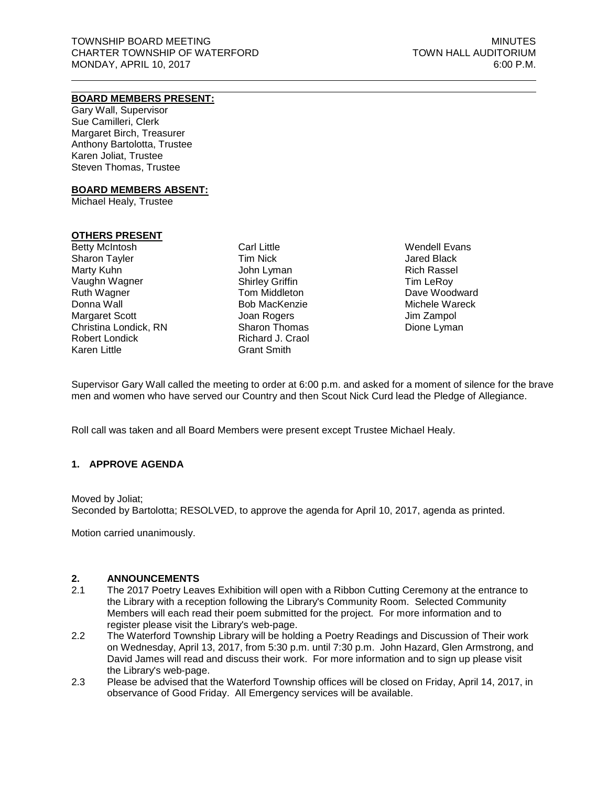# **BOARD MEMBERS PRESENT:**

Gary Wall, Supervisor Sue Camilleri, Clerk Margaret Birch, Treasurer Anthony Bartolotta, Trustee Karen Joliat, Trustee Steven Thomas, Trustee

#### **BOARD MEMBERS ABSENT:**

Michael Healy, Trustee

## **OTHERS PRESENT**

Betty McIntosh Sharon Tayler Marty Kuhn Vaughn Wagner Ruth Wagner Donna Wall Margaret Scott Christina Londick, RN Robert Londick Karen Little

Carl Little Tim Nick John Lyman Shirley Griffin Tom Middleton Bob MacKenzie Joan Rogers Sharon Thomas Richard J. Craol Grant Smith

Wendell Evans Jared Black Rich Rassel Tim LeRoy Dave Woodward Michele Wareck Jim Zampol Dione Lyman

Supervisor Gary Wall called the meeting to order at 6:00 p.m. and asked for a moment of silence for the brave men and women who have served our Country and then Scout Nick Curd lead the Pledge of Allegiance.

Roll call was taken and all Board Members were present except Trustee Michael Healy.

## **1. APPROVE AGENDA**

#### Moved by Joliat;

Seconded by Bartolotta; RESOLVED, to approve the agenda for April 10, 2017, agenda as printed.

Motion carried unanimously.

#### **2. ANNOUNCEMENTS**

- 2.1 The 2017 Poetry Leaves Exhibition will open with a Ribbon Cutting Ceremony at the entrance to the Library with a reception following the Library's Community Room. Selected Community Members will each read their poem submitted for the project. For more information and to register please visit the Library's [web-page.](http://waterfordmi.gov/477/Library)
- 2.2 The Waterford Township Library will be holding a Poetry Readings and Discussion of Their work on Wednesday, April 13, 2017, from 5:30 p.m. until 7:30 p.m. John Hazard, Glen Armstrong, and David James will read and discuss their work. For more information and to sign up please visit the Library's [web-page.](http://waterfordmi.gov/477/Library)
- 2.3 Please be advised that the Waterford Township offices will be closed on Friday, April 14, 2017, in observance of Good Friday. All Emergency services will be available.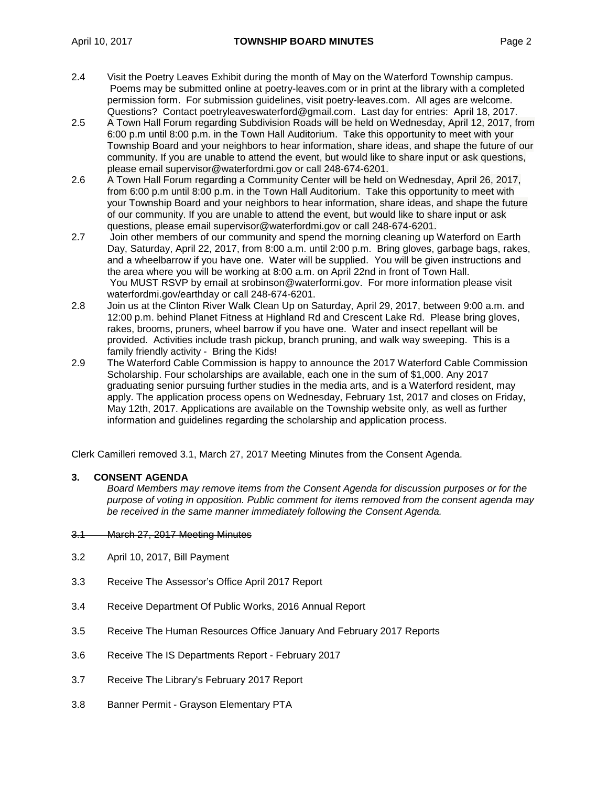- 2.4 Visit the Poetry Leaves Exhibit during the month of May on the Waterford Township campus. Poems may be submitted online at poetry-leaves.com or in print at the library with a completed permission form. For submission guidelines, visit poetry-leaves.com. All ages are welcome. Questions? Contact poetryleaveswaterford@gmail.com. Last day for entries: April 18, 2017.
- 2.5 A Town Hall Forum regarding Subdivision Roads will be held on Wednesday, April 12, 2017, from 6:00 p.m until 8:00 p.m. in the Town Hall Auditorium. Take this opportunity to meet with your Township Board and your neighbors to hear information, share ideas, and shape the future of our community. If you are unable to attend the event, but would like to share input or ask questions, please email supervisor@waterfordmi.gov or call 248-674-6201.
- 2.6 A Town Hall Forum regarding a Community Center will be held on Wednesday, April 26, 2017, from 6:00 p.m until 8:00 p.m. in the Town Hall Auditorium. Take this opportunity to meet with your Township Board and your neighbors to hear information, share ideas, and shape the future of our community. If you are unable to attend the event, but would like to share input or ask questions, please email supervisor@waterfordmi.gov or call 248-674-6201.
- 2.7 Join other members of our community and spend the morning cleaning up Waterford on Earth Day, Saturday, April 22, 2017, from 8:00 a.m. until 2:00 p.m. Bring gloves, garbage bags, rakes, and a wheelbarrow if you have one. Water will be supplied. You will be given instructions and the area where you will be working at 8:00 a.m. on April 22nd in front of Town Hall. You MUST RSVP by email at srobinson@waterformi.gov. For more information please visit waterfordmi.gov/earthday or call 248-674-6201.
- 2.8 Join us at the Clinton River Walk Clean Up on Saturday, April 29, 2017, between 9:00 a.m. and 12:00 p.m. behind Planet Fitness at Highland Rd and Crescent Lake Rd. Please bring gloves, rakes, brooms, pruners, wheel barrow if you have one. Water and insect repellant will be provided. Activities include trash pickup, branch pruning, and walk way sweeping. This is a family friendly activity - Bring the Kids!
- 2.9 The Waterford Cable Commission is happy to announce the 2017 Waterford Cable Commission Scholarship. Four scholarships are available, each one in the sum of \$1,000. Any 2017 graduating senior pursuing further studies in the media arts, and is a Waterford resident, may apply. The application process opens on Wednesday, February 1st, 2017 and closes on Friday, May 12th, 2017. Applications are available on the Township website only, as well as further information and guidelines regarding the scholarship and application process.

Clerk Camilleri removed 3.1, March 27, 2017 Meeting Minutes from the Consent Agenda.

## **3. CONSENT AGENDA**

*Board Members may remove items from the Consent Agenda for discussion purposes or for the purpose of voting in opposition. Public comment for items removed from the consent agenda may be received in the same manner immediately following the Consent Agenda.*

#### 3.1 March 27, 2017 Meeting Minutes

- 3.2 April 10, 2017, Bill Payment
- 3.3 Receive The Assessor's Office April 2017 Report
- 3.4 Receive Department Of Public Works, 2016 Annual Report
- 3.5 Receive The Human Resources Office January And February 2017 Reports
- 3.6 Receive The IS Departments Report February 2017
- 3.7 Receive The Library's February 2017 Report
- 3.8 Banner Permit Grayson Elementary PTA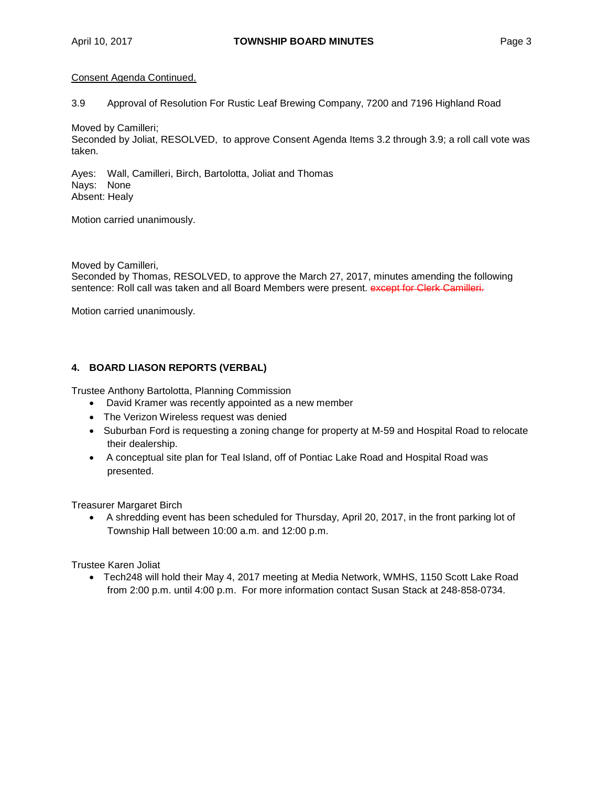## Consent Agenda Continued.

3.9 Approval of Resolution For Rustic Leaf Brewing Company, 7200 and 7196 Highland Road

Moved by Camilleri;

Seconded by Joliat, RESOLVED, to approve Consent Agenda Items 3.2 through 3.9; a roll call vote was taken.

Ayes: Wall, Camilleri, Birch, Bartolotta, Joliat and Thomas Nays: None Absent: Healy

Motion carried unanimously.

Moved by Camilleri,

Seconded by Thomas, RESOLVED, to approve the March 27, 2017, minutes amending the following sentence: Roll call was taken and all Board Members were present. except for Clerk Camilleri.

Motion carried unanimously.

## **4. BOARD LIASON REPORTS (VERBAL)**

Trustee Anthony Bartolotta, Planning Commission

- David Kramer was recently appointed as a new member
- The Verizon Wireless request was denied
- Suburban Ford is requesting a zoning change for property at M-59 and Hospital Road to relocate their dealership.
- A conceptual site plan for Teal Island, off of Pontiac Lake Road and Hospital Road was presented.

Treasurer Margaret Birch

• A shredding event has been scheduled for Thursday, April 20, 2017, in the front parking lot of Township Hall between 10:00 a.m. and 12:00 p.m.

Trustee Karen Joliat

• Tech248 will hold their May 4, 2017 meeting at Media Network, WMHS, 1150 Scott Lake Road from 2:00 p.m. until 4:00 p.m. For more information contact Susan Stack at 248-858-0734.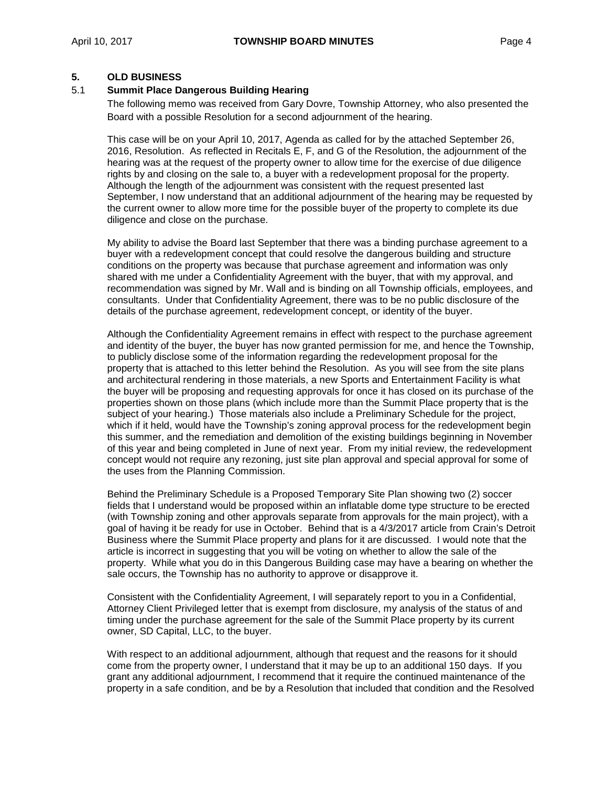## **5. OLD BUSINESS**

## 5.1 **Summit Place Dangerous Building Hearing**

The following memo was received from Gary Dovre, Township Attorney, who also presented the Board with a possible Resolution for a second adjournment of the hearing.

This case will be on your April 10, 2017, Agenda as called for by the attached September 26, 2016, Resolution. As reflected in Recitals E, F, and G of the Resolution, the adjournment of the hearing was at the request of the property owner to allow time for the exercise of due diligence rights by and closing on the sale to, a buyer with a redevelopment proposal for the property. Although the length of the adjournment was consistent with the request presented last September, I now understand that an additional adjournment of the hearing may be requested by the current owner to allow more time for the possible buyer of the property to complete its due diligence and close on the purchase.

My ability to advise the Board last September that there was a binding purchase agreement to a buyer with a redevelopment concept that could resolve the dangerous building and structure conditions on the property was because that purchase agreement and information was only shared with me under a Confidentiality Agreement with the buyer, that with my approval, and recommendation was signed by Mr. Wall and is binding on all Township officials, employees, and consultants. Under that Confidentiality Agreement, there was to be no public disclosure of the details of the purchase agreement, redevelopment concept, or identity of the buyer.

Although the Confidentiality Agreement remains in effect with respect to the purchase agreement and identity of the buyer, the buyer has now granted permission for me, and hence the Township, to publicly disclose some of the information regarding the redevelopment proposal for the property that is attached to this letter behind the Resolution. As you will see from the site plans and architectural rendering in those materials, a new Sports and Entertainment Facility is what the buyer will be proposing and requesting approvals for once it has closed on its purchase of the properties shown on those plans (which include more than the Summit Place property that is the subject of your hearing.) Those materials also include a Preliminary Schedule for the project, which if it held, would have the Township's zoning approval process for the redevelopment begin this summer, and the remediation and demolition of the existing buildings beginning in November of this year and being completed in June of next year. From my initial review, the redevelopment concept would not require any rezoning, just site plan approval and special approval for some of the uses from the Planning Commission.

Behind the Preliminary Schedule is a Proposed Temporary Site Plan showing two (2) soccer fields that I understand would be proposed within an inflatable dome type structure to be erected (with Township zoning and other approvals separate from approvals for the main project), with a goal of having it be ready for use in October. Behind that is a 4/3/2017 article from Crain's Detroit Business where the Summit Place property and plans for it are discussed. I would note that the article is incorrect in suggesting that you will be voting on whether to allow the sale of the property. While what you do in this Dangerous Building case may have a bearing on whether the sale occurs, the Township has no authority to approve or disapprove it.

Consistent with the Confidentiality Agreement, I will separately report to you in a Confidential, Attorney Client Privileged letter that is exempt from disclosure, my analysis of the status of and timing under the purchase agreement for the sale of the Summit Place property by its current owner, SD Capital, LLC, to the buyer.

With respect to an additional adjournment, although that request and the reasons for it should come from the property owner, I understand that it may be up to an additional 150 days. If you grant any additional adjournment, I recommend that it require the continued maintenance of the property in a safe condition, and be by a Resolution that included that condition and the Resolved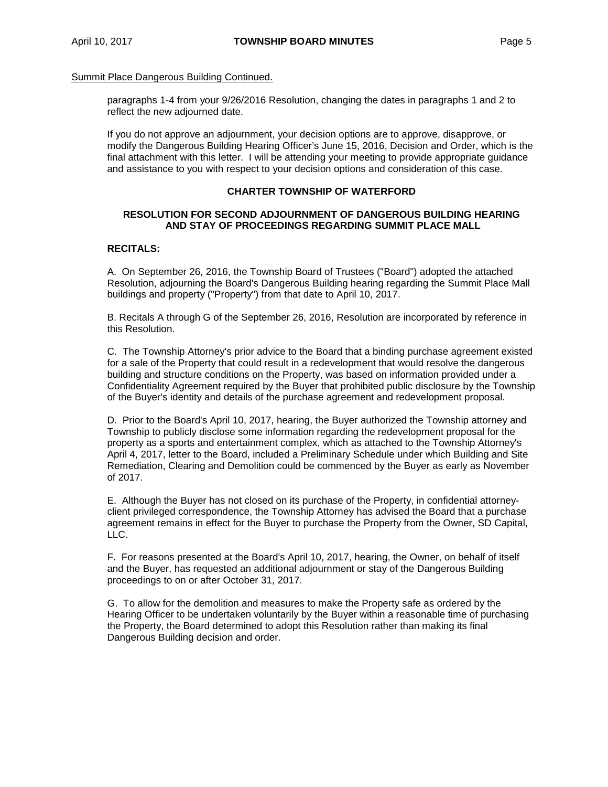paragraphs 1-4 from your 9/26/2016 Resolution, changing the dates in paragraphs 1 and 2 to reflect the new adjourned date.

If you do not approve an adjournment, your decision options are to approve, disapprove, or modify the Dangerous Building Hearing Officer's June 15, 2016, Decision and Order, which is the final attachment with this letter. I will be attending your meeting to provide appropriate guidance and assistance to you with respect to your decision options and consideration of this case.

## **CHARTER TOWNSHIP OF WATERFORD**

## **RESOLUTION FOR SECOND ADJOURNMENT OF DANGEROUS BUILDING HEARING AND STAY OF PROCEEDINGS REGARDING SUMMIT PLACE MALL**

## **RECITALS:**

A. On September 26, 2016, the Township Board of Trustees ("Board") adopted the attached Resolution, adjourning the Board's Dangerous Building hearing regarding the Summit Place Mall buildings and property ("Property") from that date to April 10, 2017.

B. Recitals A through G of the September 26, 2016, Resolution are incorporated by reference in this Resolution.

C. The Township Attorney's prior advice to the Board that a binding purchase agreement existed for a sale of the Property that could result in a redevelopment that would resolve the dangerous building and structure conditions on the Property, was based on information provided under a Confidentiality Agreement required by the Buyer that prohibited public disclosure by the Township of the Buyer's identity and details of the purchase agreement and redevelopment proposal.

D. Prior to the Board's April 10, 2017, hearing, the Buyer authorized the Township attorney and Township to publicly disclose some information regarding the redevelopment proposal for the property as a sports and entertainment complex, which as attached to the Township Attorney's April 4, 2017, letter to the Board, included a Preliminary Schedule under which Building and Site Remediation, Clearing and Demolition could be commenced by the Buyer as early as November of 2017.

E. Although the Buyer has not closed on its purchase of the Property, in confidential attorneyclient privileged correspondence, the Township Attorney has advised the Board that a purchase agreement remains in effect for the Buyer to purchase the Property from the Owner, SD Capital, LLC.

F. For reasons presented at the Board's April 10, 2017, hearing, the Owner, on behalf of itself and the Buyer, has requested an additional adjournment or stay of the Dangerous Building proceedings to on or after October 31, 2017.

G. To allow for the demolition and measures to make the Property safe as ordered by the Hearing Officer to be undertaken voluntarily by the Buyer within a reasonable time of purchasing the Property, the Board determined to adopt this Resolution rather than making its final Dangerous Building decision and order.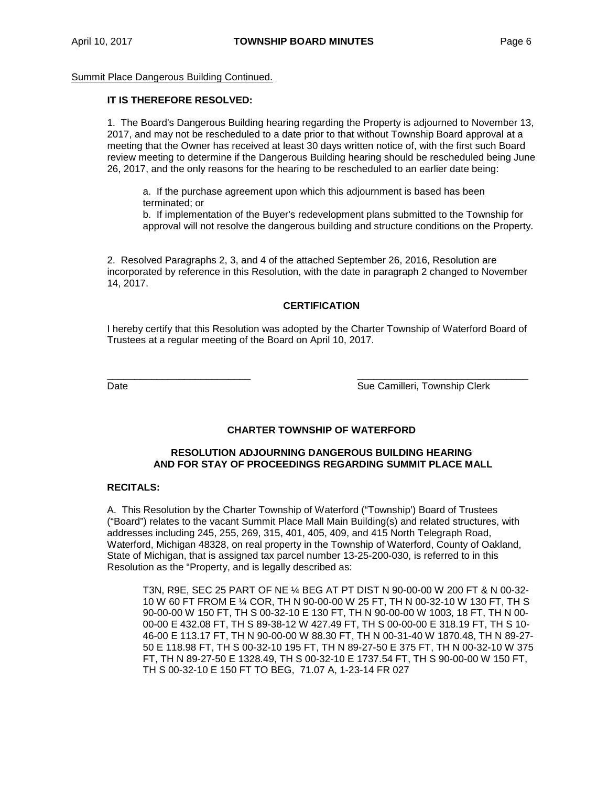## **IT IS THEREFORE RESOLVED:**

1. The Board's Dangerous Building hearing regarding the Property is adjourned to November 13, 2017, and may not be rescheduled to a date prior to that without Township Board approval at a meeting that the Owner has received at least 30 days written notice of, with the first such Board review meeting to determine if the Dangerous Building hearing should be rescheduled being June 26, 2017, and the only reasons for the hearing to be rescheduled to an earlier date being:

a. If the purchase agreement upon which this adjournment is based has been terminated; or

b. If implementation of the Buyer's redevelopment plans submitted to the Township for approval will not resolve the dangerous building and structure conditions on the Property.

2. Resolved Paragraphs 2, 3, and 4 of the attached September 26, 2016, Resolution are incorporated by reference in this Resolution, with the date in paragraph 2 changed to November 14, 2017.

## **CERTIFICATION**

I hereby certify that this Resolution was adopted by the Charter Township of Waterford Board of Trustees at a regular meeting of the Board on April 10, 2017.

\_\_\_\_\_\_\_\_\_\_\_\_\_\_\_\_\_\_\_\_\_\_\_\_\_\_ \_\_\_\_\_\_\_\_\_\_\_\_\_\_\_\_\_\_\_\_\_\_\_\_\_\_\_\_\_\_\_ Date **Sue Camilleri, Township Clerk** Camilleri, Township Clerk

## **CHARTER TOWNSHIP OF WATERFORD**

## **RESOLUTION ADJOURNING DANGEROUS BUILDING HEARING AND FOR STAY OF PROCEEDINGS REGARDING SUMMIT PLACE MALL**

### **RECITALS:**

A. This Resolution by the Charter Township of Waterford ("Township') Board of Trustees ("Board") relates to the vacant Summit Place Mall Main Building(s) and related structures, with addresses including 245, 255, 269, 315, 401, 405, 409, and 415 North Telegraph Road, Waterford, Michigan 48328, on real property in the Township of Waterford, County of Oakland, State of Michigan, that is assigned tax parcel number 13-25-200-030, is referred to in this Resolution as the "Property, and is legally described as:

T3N, R9E, SEC 25 PART OF NE ¼ BEG AT PT DIST N 90-00-00 W 200 FT & N 00-32- 10 W 60 FT FROM E ¼ COR, TH N 90-00-00 W 25 FT, TH N 00-32-10 W 130 FT, TH S 90-00-00 W 150 FT, TH S 00-32-10 E 130 FT, TH N 90-00-00 W 1003, 18 FT, TH N 00- 00-00 E 432.08 FT, TH S 89-38-12 W 427.49 FT, TH S 00-00-00 E 318.19 FT, TH S 10- 46-00 E 113.17 FT, TH N 90-00-00 W 88.30 FT, TH N 00-31-40 W 1870.48, TH N 89-27- 50 E 118.98 FT, TH S 00-32-10 195 FT, TH N 89-27-50 E 375 FT, TH N 00-32-10 W 375 FT, TH N 89-27-50 E 1328.49, TH S 00-32-10 E 1737.54 FT, TH S 90-00-00 W 150 FT, TH S 00-32-10 E 150 FT TO BEG, 71.07 A, 1-23-14 FR 027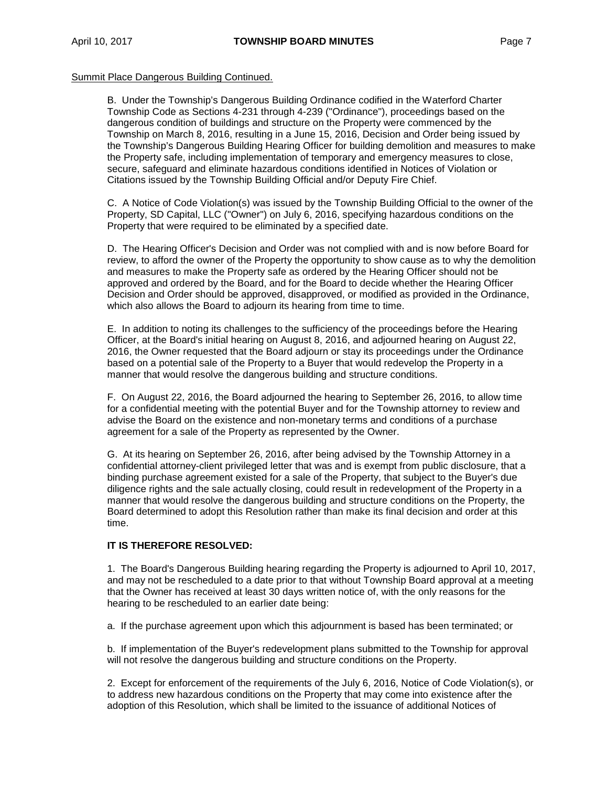B. Under the Township's Dangerous Building Ordinance codified in the Waterford Charter Township Code as Sections 4-231 through 4-239 ("Ordinance"), proceedings based on the dangerous condition of buildings and structure on the Property were commenced by the Township on March 8, 2016, resulting in a June 15, 2016, Decision and Order being issued by the Township's Dangerous Building Hearing Officer for building demolition and measures to make the Property safe, including implementation of temporary and emergency measures to close, secure, safeguard and eliminate hazardous conditions identified in Notices of Violation or Citations issued by the Township Building Official and/or Deputy Fire Chief.

C. A Notice of Code Violation(s) was issued by the Township Building Official to the owner of the Property, SD Capital, LLC ("Owner") on July 6, 2016, specifying hazardous conditions on the Property that were required to be eliminated by a specified date.

D. The Hearing Officer's Decision and Order was not complied with and is now before Board for review, to afford the owner of the Property the opportunity to show cause as to why the demolition and measures to make the Property safe as ordered by the Hearing Officer should not be approved and ordered by the Board, and for the Board to decide whether the Hearing Officer Decision and Order should be approved, disapproved, or modified as provided in the Ordinance, which also allows the Board to adjourn its hearing from time to time.

E. In addition to noting its challenges to the sufficiency of the proceedings before the Hearing Officer, at the Board's initial hearing on August 8, 2016, and adjourned hearing on August 22, 2016, the Owner requested that the Board adjourn or stay its proceedings under the Ordinance based on a potential sale of the Property to a Buyer that would redevelop the Property in a manner that would resolve the dangerous building and structure conditions.

F. On August 22, 2016, the Board adjourned the hearing to September 26, 2016, to allow time for a confidential meeting with the potential Buyer and for the Township attorney to review and advise the Board on the existence and non-monetary terms and conditions of a purchase agreement for a sale of the Property as represented by the Owner.

G. At its hearing on September 26, 2016, after being advised by the Township Attorney in a confidential attorney-client privileged letter that was and is exempt from public disclosure, that a binding purchase agreement existed for a sale of the Property, that subject to the Buyer's due diligence rights and the sale actually closing, could result in redevelopment of the Property in a manner that would resolve the dangerous building and structure conditions on the Property, the Board determined to adopt this Resolution rather than make its final decision and order at this time.

#### **IT IS THEREFORE RESOLVED:**

1. The Board's Dangerous Building hearing regarding the Property is adjourned to April 10, 2017, and may not be rescheduled to a date prior to that without Township Board approval at a meeting that the Owner has received at least 30 days written notice of, with the only reasons for the hearing to be rescheduled to an earlier date being:

a. If the purchase agreement upon which this adjournment is based has been terminated; or

b. If implementation of the Buyer's redevelopment plans submitted to the Township for approval will not resolve the dangerous building and structure conditions on the Property.

2. Except for enforcement of the requirements of the July 6, 2016, Notice of Code Violation(s), or to address new hazardous conditions on the Property that may come into existence after the adoption of this Resolution, which shall be limited to the issuance of additional Notices of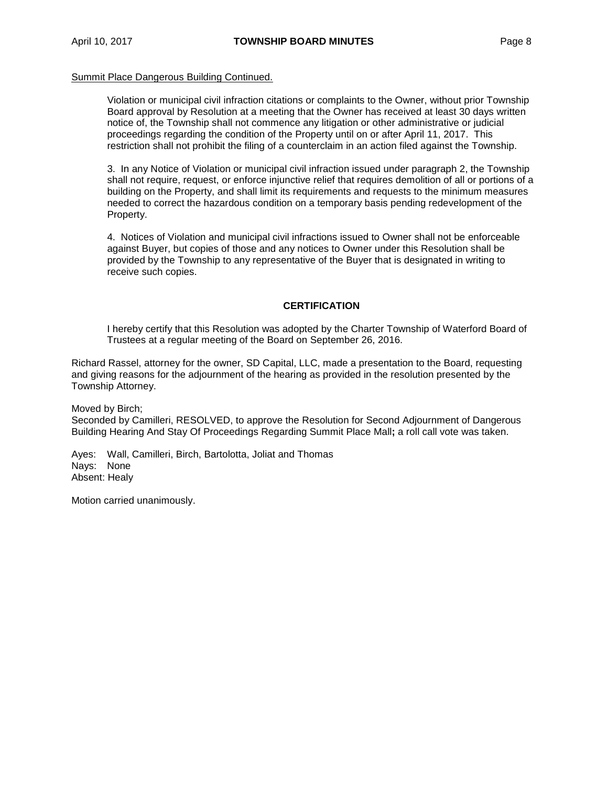Violation or municipal civil infraction citations or complaints to the Owner, without prior Township Board approval by Resolution at a meeting that the Owner has received at least 30 days written notice of, the Township shall not commence any litigation or other administrative or judicial proceedings regarding the condition of the Property until on or after April 11, 2017. This restriction shall not prohibit the filing of a counterclaim in an action filed against the Township.

3. In any Notice of Violation or municipal civil infraction issued under paragraph 2, the Township shall not require, request, or enforce injunctive relief that requires demolition of all or portions of a building on the Property, and shall limit its requirements and requests to the minimum measures needed to correct the hazardous condition on a temporary basis pending redevelopment of the Property.

4. Notices of Violation and municipal civil infractions issued to Owner shall not be enforceable against Buyer, but copies of those and any notices to Owner under this Resolution shall be provided by the Township to any representative of the Buyer that is designated in writing to receive such copies.

## **CERTIFICATION**

I hereby certify that this Resolution was adopted by the Charter Township of Waterford Board of Trustees at a regular meeting of the Board on September 26, 2016.

Richard Rassel, attorney for the owner, SD Capital, LLC, made a presentation to the Board, requesting and giving reasons for the adjournment of the hearing as provided in the resolution presented by the Township Attorney.

Moved by Birch;

Seconded by Camilleri, RESOLVED, to approve the Resolution for Second Adjournment of Dangerous Building Hearing And Stay Of Proceedings Regarding Summit Place Mall**;** a roll call vote was taken.

Ayes: Wall, Camilleri, Birch, Bartolotta, Joliat and Thomas Nays: None Absent: Healy

Motion carried unanimously.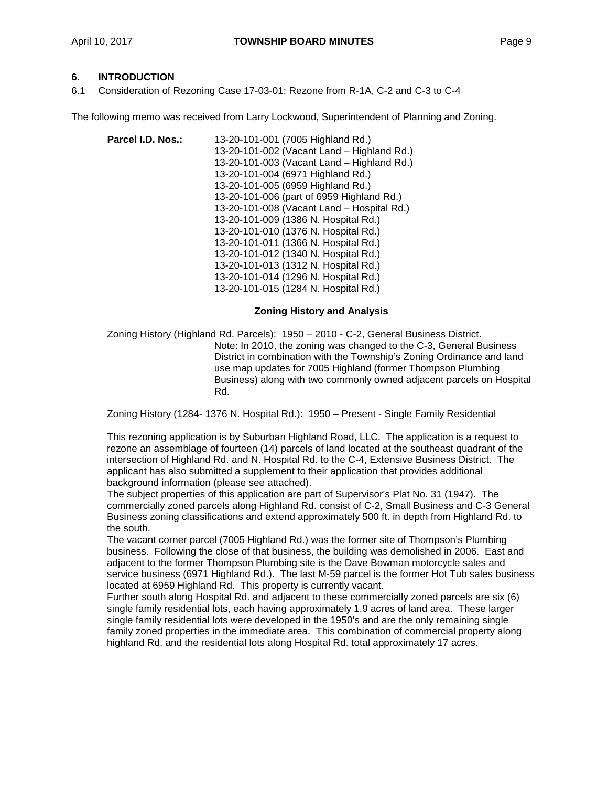## **6. INTRODUCTION**

6.1 Consideration of Rezoning Case 17-03-01; Rezone from R-1A, C-2 and C-3 to C-4

The following memo was received from Larry Lockwood, Superintendent of Planning and Zoning.

| Parcel I.D. Nos.: | 13-20-101-001 (7005 Highland Rd.)          |
|-------------------|--------------------------------------------|
|                   | 13-20-101-002 (Vacant Land - Highland Rd.) |
|                   | 13-20-101-003 (Vacant Land - Highland Rd.) |
|                   | 13-20-101-004 (6971 Highland Rd.)          |
|                   | 13-20-101-005 (6959 Highland Rd.)          |
|                   | 13-20-101-006 (part of 6959 Highland Rd.)  |
|                   | 13-20-101-008 (Vacant Land - Hospital Rd.) |
|                   | 13-20-101-009 (1386 N. Hospital Rd.)       |
|                   | 13-20-101-010 (1376 N. Hospital Rd.)       |
|                   | 13-20-101-011 (1366 N. Hospital Rd.)       |
|                   | 13-20-101-012 (1340 N. Hospital Rd.)       |
|                   | 13-20-101-013 (1312 N. Hospital Rd.)       |
|                   | 13-20-101-014 (1296 N. Hospital Rd.)       |
|                   | 13-20-101-015 (1284 N. Hospital Rd.)       |

## **Zoning History and Analysis**

Zoning History (Highland Rd. Parcels): 1950 – 2010 - C-2, General Business District. Note: In 2010, the zoning was changed to the C-3, General Business District in combination with the Township's Zoning Ordinance and land use map updates for 7005 Highland (former Thompson Plumbing Business) along with two commonly owned adjacent parcels on Hospital Rd.

Zoning History (1284- 1376 N. Hospital Rd.): 1950 – Present - Single Family Residential

This rezoning application is by Suburban Highland Road, LLC. The application is a request to rezone an assemblage of fourteen (14) parcels of land located at the southeast quadrant of the intersection of Highland Rd. and N. Hospital Rd. to the C-4, Extensive Business District. The applicant has also submitted a supplement to their application that provides additional background information (please see attached).

The subject properties of this application are part of Supervisor's Plat No. 31 (1947). The commercially zoned parcels along Highland Rd. consist of C-2, Small Business and C-3 General Business zoning classifications and extend approximately 500 ft. in depth from Highland Rd. to the south.

The vacant corner parcel (7005 Highland Rd.) was the former site of Thompson's Plumbing business. Following the close of that business, the building was demolished in 2006. East and adjacent to the former Thompson Plumbing site is the Dave Bowman motorcycle sales and service business (6971 Highland Rd.). The last M-59 parcel is the former Hot Tub sales business located at 6959 Highland Rd. This property is currently vacant.

Further south along Hospital Rd. and adjacent to these commercially zoned parcels are six (6) single family residential lots, each having approximately 1.9 acres of land area. These larger single family residential lots were developed in the 1950's and are the only remaining single family zoned properties in the immediate area. This combination of commercial property along highland Rd. and the residential lots along Hospital Rd. total approximately 17 acres.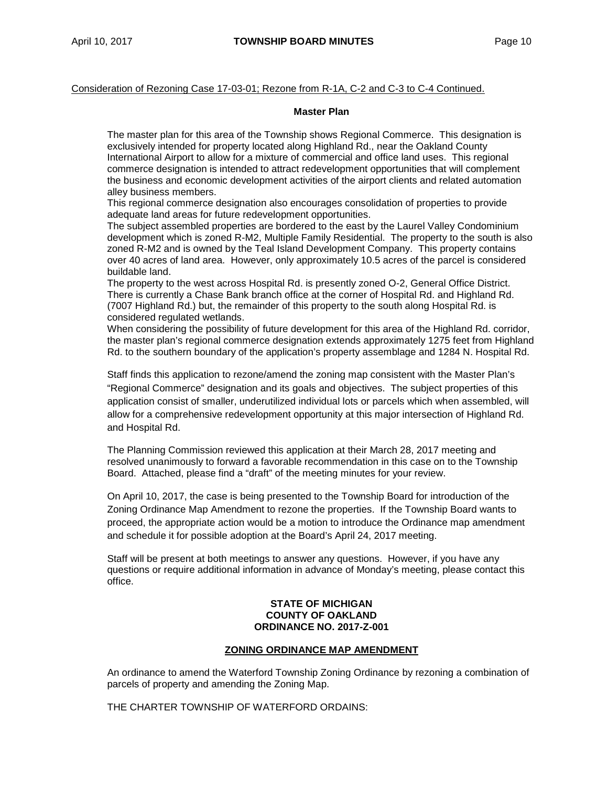## Consideration of Rezoning Case 17-03-01; Rezone from R-1A, C-2 and C-3 to C-4 Continued.

#### **Master Plan**

The master plan for this area of the Township shows Regional Commerce. This designation is exclusively intended for property located along Highland Rd., near the Oakland County International Airport to allow for a mixture of commercial and office land uses. This regional commerce designation is intended to attract redevelopment opportunities that will complement the business and economic development activities of the airport clients and related automation alley business members.

This regional commerce designation also encourages consolidation of properties to provide adequate land areas for future redevelopment opportunities.

The subject assembled properties are bordered to the east by the Laurel Valley Condominium development which is zoned R-M2, Multiple Family Residential. The property to the south is also zoned R-M2 and is owned by the Teal Island Development Company. This property contains over 40 acres of land area. However, only approximately 10.5 acres of the parcel is considered buildable land.

The property to the west across Hospital Rd. is presently zoned O-2, General Office District. There is currently a Chase Bank branch office at the corner of Hospital Rd. and Highland Rd. (7007 Highland Rd.) but, the remainder of this property to the south along Hospital Rd. is considered regulated wetlands.

When considering the possibility of future development for this area of the Highland Rd. corridor, the master plan's regional commerce designation extends approximately 1275 feet from Highland Rd. to the southern boundary of the application's property assemblage and 1284 N. Hospital Rd.

Staff finds this application to rezone/amend the zoning map consistent with the Master Plan's "Regional Commerce" designation and its goals and objectives. The subject properties of this application consist of smaller, underutilized individual lots or parcels which when assembled, will allow for a comprehensive redevelopment opportunity at this major intersection of Highland Rd. and Hospital Rd.

The Planning Commission reviewed this application at their March 28, 2017 meeting and resolved unanimously to forward a favorable recommendation in this case on to the Township Board. Attached, please find a "draft" of the meeting minutes for your review.

On April 10, 2017, the case is being presented to the Township Board for introduction of the Zoning Ordinance Map Amendment to rezone the properties. If the Township Board wants to proceed, the appropriate action would be a motion to introduce the Ordinance map amendment and schedule it for possible adoption at the Board's April 24, 2017 meeting.

Staff will be present at both meetings to answer any questions. However, if you have any questions or require additional information in advance of Monday's meeting, please contact this office.

## **STATE OF MICHIGAN COUNTY OF OAKLAND ORDINANCE NO. 2017-Z-001**

#### **ZONING ORDINANCE MAP AMENDMENT**

An ordinance to amend the Waterford Township Zoning Ordinance by rezoning a combination of parcels of property and amending the Zoning Map.

THE CHARTER TOWNSHIP OF WATERFORD ORDAINS: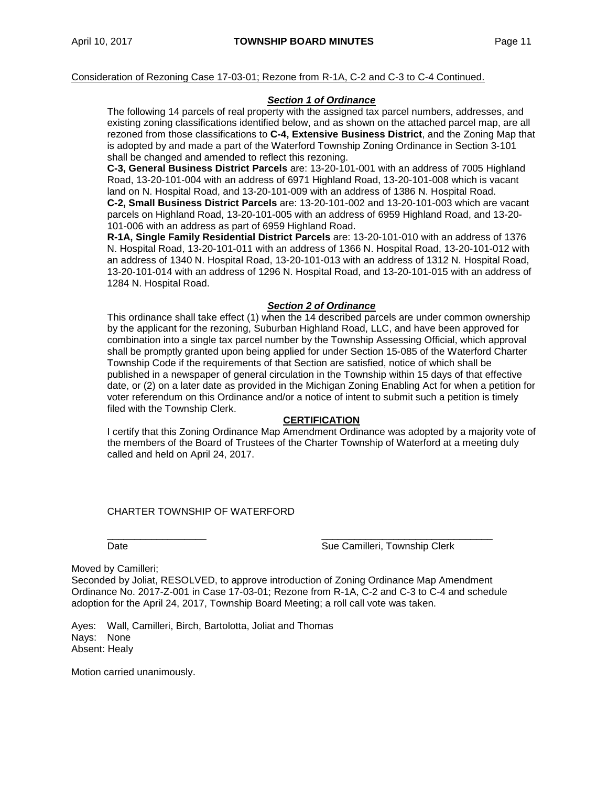Consideration of Rezoning Case 17-03-01; Rezone from R-1A, C-2 and C-3 to C-4 Continued.

## *Section 1 of Ordinance*

The following 14 parcels of real property with the assigned tax parcel numbers, addresses, and existing zoning classifications identified below, and as shown on the attached parcel map, are all rezoned from those classifications to **C-4, Extensive Business District**, and the Zoning Map that is adopted by and made a part of the Waterford Township Zoning Ordinance in Section 3-101 shall be changed and amended to reflect this rezoning.

**C-3, General Business District Parcels** are: 13-20-101-001 with an address of 7005 Highland Road, 13-20-101-004 with an address of 6971 Highland Road, 13-20-101-008 which is vacant land on N. Hospital Road, and 13-20-101-009 with an address of 1386 N. Hospital Road. **C-2, Small Business District Parcels** are: 13-20-101-002 and 13-20-101-003 which are vacant parcels on Highland Road, 13-20-101-005 with an address of 6959 Highland Road, and 13-20- 101-006 with an address as part of 6959 Highland Road.

**R-1A, Single Family Residential District Parcels** are: 13-20-101-010 with an address of 1376 N. Hospital Road, 13-20-101-011 with an address of 1366 N. Hospital Road, 13-20-101-012 with an address of 1340 N. Hospital Road, 13-20-101-013 with an address of 1312 N. Hospital Road, 13-20-101-014 with an address of 1296 N. Hospital Road, and 13-20-101-015 with an address of 1284 N. Hospital Road.

## *Section 2 of Ordinance*

This ordinance shall take effect (1) when the 14 described parcels are under common ownership by the applicant for the rezoning, Suburban Highland Road, LLC, and have been approved for combination into a single tax parcel number by the Township Assessing Official, which approval shall be promptly granted upon being applied for under Section 15-085 of the Waterford Charter Township Code if the requirements of that Section are satisfied, notice of which shall be published in a newspaper of general circulation in the Township within 15 days of that effective date, or (2) on a later date as provided in the Michigan Zoning Enabling Act for when a petition for voter referendum on this Ordinance and/or a notice of intent to submit such a petition is timely filed with the Township Clerk.

#### **CERTIFICATION**

I certify that this Zoning Ordinance Map Amendment Ordinance was adopted by a majority vote of the members of the Board of Trustees of the Charter Township of Waterford at a meeting duly called and held on April 24, 2017.

## CHARTER TOWNSHIP OF WATERFORD

\_\_\_\_\_\_\_\_\_\_\_\_\_\_\_\_\_\_ \_\_\_\_\_\_\_\_\_\_\_\_\_\_\_\_\_\_\_\_\_\_\_\_\_\_\_\_\_\_\_ Date **Sue Camilleri, Township Clerk** Sue Camilleri, Township Clerk

Moved by Camilleri;

Seconded by Joliat, RESOLVED, to approve introduction of Zoning Ordinance Map Amendment Ordinance No. 2017-Z-001 in Case 17-03-01; Rezone from R-1A, C-2 and C-3 to C-4 and schedule adoption for the April 24, 2017, Township Board Meeting; a roll call vote was taken.

Ayes: Wall, Camilleri, Birch, Bartolotta, Joliat and Thomas Nays: None Absent: Healy

Motion carried unanimously.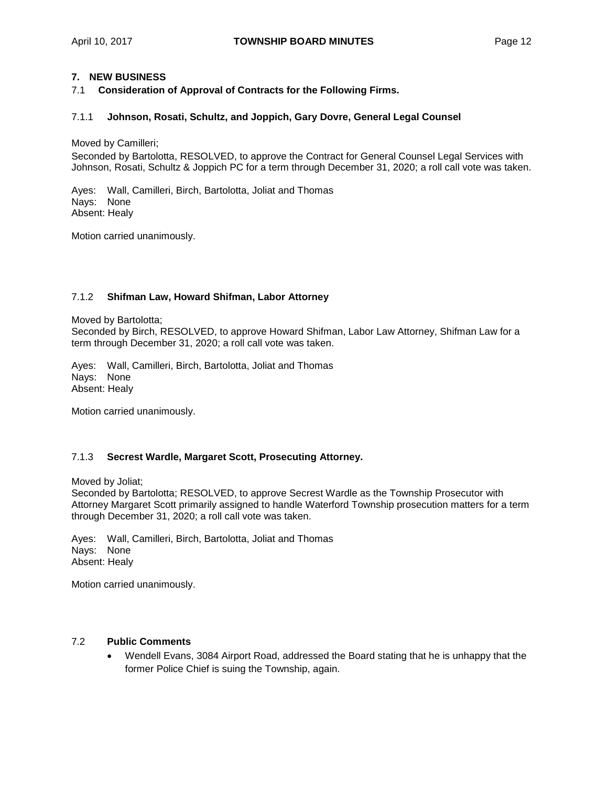# **7. NEW BUSINESS**

7.1 **Consideration of Approval of Contracts for the Following Firms.**

## 7.1.1 **Johnson, Rosati, Schultz, and Joppich, Gary Dovre, General Legal Counsel**

Moved by Camilleri;

Seconded by Bartolotta, RESOLVED, to approve the Contract for General Counsel Legal Services with Johnson, Rosati, Schultz & Joppich PC for a term through December 31, 2020; a roll call vote was taken.

Ayes: Wall, Camilleri, Birch, Bartolotta, Joliat and Thomas Nays: None Absent: Healy

Motion carried unanimously.

#### 7.1.2 **Shifman Law, Howard Shifman, Labor Attorney**

Moved by Bartolotta; Seconded by Birch, RESOLVED, to approve Howard Shifman, Labor Law Attorney, Shifman Law for a term through December 31, 2020; a roll call vote was taken.

Ayes: Wall, Camilleri, Birch, Bartolotta, Joliat and Thomas Nays: None Absent: Healy

Motion carried unanimously.

## 7.1.3 **Secrest Wardle, Margaret Scott, Prosecuting Attorney.**

Moved by Joliat;

Seconded by Bartolotta; RESOLVED, to approve Secrest Wardle as the Township Prosecutor with Attorney Margaret Scott primarily assigned to handle Waterford Township prosecution matters for a term through December 31, 2020; a roll call vote was taken.

Ayes: Wall, Camilleri, Birch, Bartolotta, Joliat and Thomas Nays: None Absent: Healy

Motion carried unanimously.

#### 7.2 **Public Comments**

• Wendell Evans, 3084 Airport Road, addressed the Board stating that he is unhappy that the former Police Chief is suing the Township, again.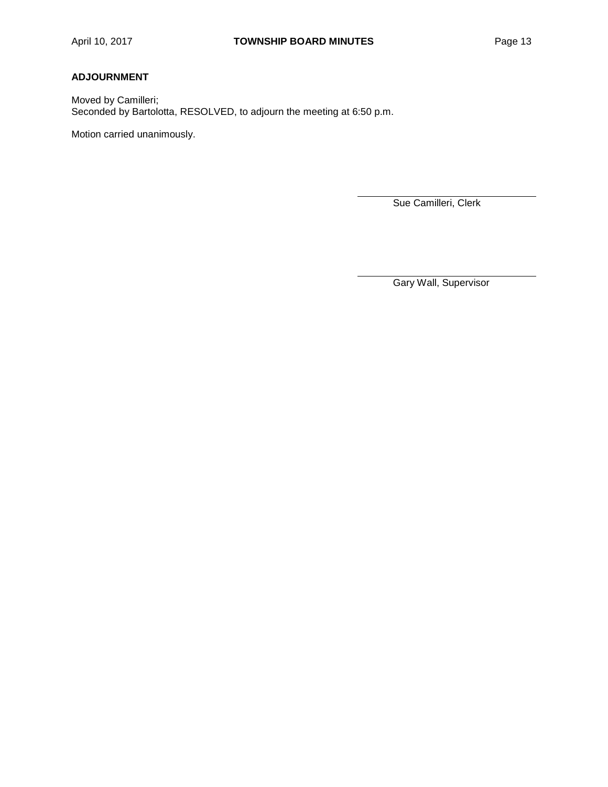# **ADJOURNMENT**

Moved by Camilleri; Seconded by Bartolotta, RESOLVED, to adjourn the meeting at 6:50 p.m.

Motion carried unanimously.

Sue Camilleri, Clerk

Gary Wall, Supervisor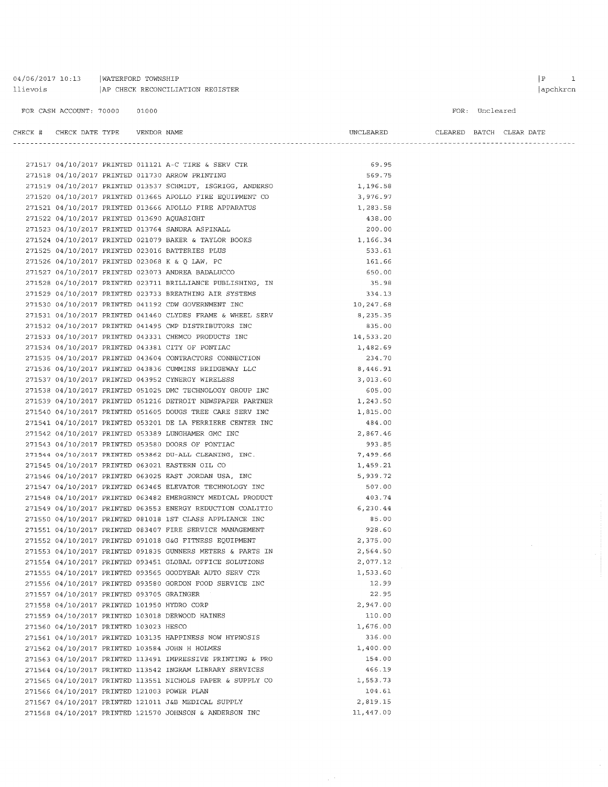### 04/06/2017 10:13 | WATERFORD TOWNSHIP  $\begin{tabular}{l|c|c|c|c|c} \textbf{lilevois} & \textbf{AP} \textbf{CHECK RECONCILIATION REGISTER} \end{tabular}$

#### FOR CASH ACCOUNT: 70000 01000

FOR: Uncleared

|                                             |  |                                                                                                                                                                                                                                        | UNCLEARED   |  | CLEARED BATCH CLEAR DATE |
|---------------------------------------------|--|----------------------------------------------------------------------------------------------------------------------------------------------------------------------------------------------------------------------------------------|-------------|--|--------------------------|
|                                             |  |                                                                                                                                                                                                                                        |             |  |                          |
|                                             |  |                                                                                                                                                                                                                                        |             |  |                          |
|                                             |  | 271517 04/10/2017 PRINTED 011121 A-C TIRE & SERV CTR<br>271518 04/10/2017 PRINTED 011730 ARROW PRINTING                                                                                                                                | 69.95       |  |                          |
|                                             |  |                                                                                                                                                                                                                                        | 569.75      |  |                          |
|                                             |  | 271519 04/10/2017 PRINTED 013537 SCHMIDT, ISGRIGG, ANDERSO 1,196.58                                                                                                                                                                    |             |  |                          |
|                                             |  |                                                                                                                                                                                                                                        |             |  |                          |
|                                             |  |                                                                                                                                                                                                                                        |             |  |                          |
|                                             |  |                                                                                                                                                                                                                                        |             |  |                          |
|                                             |  | 271520 04/10/2017 PRINTED 013665 APOLLO FIRE EQUIPMENT CO<br>271521 04/10/2017 PRINTED 013666 APOLLO FIRE APPARATUS<br>271521 04/10/2017 PRINTED 013666 APOLLO FIRE APPARATUS<br>271523 04/10/2017 PRINTED 013764 SANDRA ASPINALL<br>2 |             |  |                          |
|                                             |  |                                                                                                                                                                                                                                        |             |  |                          |
|                                             |  |                                                                                                                                                                                                                                        |             |  |                          |
|                                             |  |                                                                                                                                                                                                                                        |             |  |                          |
|                                             |  |                                                                                                                                                                                                                                        |             |  |                          |
|                                             |  | 271528 04/10/2017 PRINTED 023711 BRILLIANCE PUBLISHING, IN                                                                                                                                                                             | 35.98       |  |                          |
|                                             |  | 271529 04/10/2017 PRINTED 023733 BREATHING AIR SYSTEMS                                                                                                                                                                                 | 334.13      |  |                          |
|                                             |  |                                                                                                                                                                                                                                        | 10,247.68   |  |                          |
|                                             |  |                                                                                                                                                                                                                                        | 8,235.35    |  |                          |
|                                             |  | 271530 04/10/2017 PRINTED 041132 CDR OCTABLE & WHEEL SERV<br>271531 04/10/2017 PRINTED 041460 CLYDES FRAME & WHEEL SERV                                                                                                                | 835.00      |  |                          |
|                                             |  | 271533 04/10/2017 PRINTED 043331 CHEMCO PRODUCTS INC                                                                                                                                                                                   | 14, 533. 20 |  |                          |
|                                             |  | 271533 04/10/2017 PRINTED 043381 CITY OF PONTIAC<br>271535 04/10/2017 PRINTED 043604 CONTRACTORS CONNECTION<br>271535 04/10/2017 PRINTED 043836 CUMMINS BRIDGEWAY LLC<br>271537 04/10/2017 PRINTED 043832 CYNERGY WIRELESS             | 1,482.69    |  |                          |
|                                             |  |                                                                                                                                                                                                                                        | 234.70      |  |                          |
|                                             |  |                                                                                                                                                                                                                                        | 8,446.91    |  |                          |
|                                             |  |                                                                                                                                                                                                                                        | 3,013.60    |  |                          |
|                                             |  | 271538 04/10/2017 PRINTED 051025 DMC TECHNOLOGY GROUP INC                                                                                                                                                                              | 605.00      |  |                          |
|                                             |  | 271539 04/10/2017 PRINTED 051216 DETROIT NEWSPAPER PARTNER 1,243.50                                                                                                                                                                    |             |  |                          |
|                                             |  |                                                                                                                                                                                                                                        | 1,815.00    |  |                          |
|                                             |  | 271539 04/10/2017 PRINTED 051216 DERACLI ABRASSER CRESSERV INC<br>271540 04/10/2017 PRINTED 051605 DOUGS TREE CARE SERV INC<br>271541 04/10/2017 PRINTED 053201 DE LA FERRIERE CENTER INC                                              | 484.00      |  |                          |
|                                             |  |                                                                                                                                                                                                                                        | 2,867.46    |  |                          |
|                                             |  | 271543 04/10/2017 PRINTED 053580 DOORS OF PONTIAC                                                                                                                                                                                      | 993.85      |  |                          |
|                                             |  | 271544 04/10/2017 PRINTED 053862 DU-ALL CLEANING, INC.<br>271545 04/10/2017 PRINTED 063021 EASTERN OIL CO<br>271546 04/10/2017 PRINTED 063025 EAST JORDAN USA, INC<br>271547 04/10/2017 PRINTED 063465 ELEVATOR TECHNOLOGY INC         | 7,499.66    |  |                          |
|                                             |  |                                                                                                                                                                                                                                        | 1,459.21    |  |                          |
|                                             |  |                                                                                                                                                                                                                                        | 5,939.72    |  |                          |
|                                             |  |                                                                                                                                                                                                                                        | 507.00      |  |                          |
|                                             |  | 271548 04/10/2017 PRINTED 063482 EMERGENCY MEDICAL PRODUCT                                                                                                                                                                             | 403.74      |  |                          |
|                                             |  | 271549 04/10/2017 PRINTED 063553 ENERGY REDUCTION COALITIO                                                                                                                                                                             | 6, 230.44   |  |                          |
|                                             |  | 271550 04/10/2017 PRINTED 081018 1ST CLASS APPLIANCE INC                                                                                                                                                                               | 85.00       |  |                          |
|                                             |  | 271551 04/10/2017 PRINTED 083407 FIRE SERVICE MANAGEMENT                                                                                                                                                                               | 928.60      |  |                          |
|                                             |  | 271552 04/10/2017 PRINTED 091018 G&G FITNESS EQUIPMENT                                                                                                                                                                                 | 2,375.00    |  |                          |
|                                             |  | 271553 04/10/2017 PRINTED 091835 GUNNERS METERS & PARTS IN                                                                                                                                                                             | 2,564.50    |  |                          |
|                                             |  | 271554 04/10/2017 PRINTED 093451 GLOBAL OFFICE SOLUTIONS                                                                                                                                                                               | 2,077.12    |  |                          |
|                                             |  | 271555 04/10/2017 PRINTED 093565 GOODYEAR AUTO SERV CTR                                                                                                                                                                                | 1,533.60    |  |                          |
|                                             |  | 271556 04/10/2017 PRINTED 093580 GORDON FOOD SERVICE INC                                                                                                                                                                               | 12.99       |  |                          |
| 271557 04/10/2017 PRINTED 093705 GRAINGER   |  |                                                                                                                                                                                                                                        | 22.95       |  |                          |
| 271558 04/10/2017 PRINTED 101950 HYDRO CORP |  |                                                                                                                                                                                                                                        | 2,947.00    |  |                          |
|                                             |  |                                                                                                                                                                                                                                        |             |  |                          |
|                                             |  | 271559 04/10/2017 PRINTED 103018 DERWOOD HAINES                                                                                                                                                                                        | 110.00      |  |                          |
| 271560 04/10/2017 PRINTED 103023 HESCO      |  |                                                                                                                                                                                                                                        | 1,676.00    |  |                          |
|                                             |  | 271561 04/10/2017 PRINTED 103135 HAPPINESS NOW HYPNOSIS                                                                                                                                                                                | 336.00      |  |                          |
|                                             |  | 271562 04/10/2017 PRINTED 103584 JOHN H HOLMES                                                                                                                                                                                         | 1,400.00    |  |                          |
|                                             |  | 271563 04/10/2017 PRINTED 113491 IMPRESSIVE PRINTING & PRO                                                                                                                                                                             | 154.00      |  |                          |
|                                             |  | 271564 04/10/2017 PRINTED 113542 INGRAM LIBRARY SERVICES                                                                                                                                                                               | 466.19      |  |                          |
|                                             |  | 271565 04/10/2017 PRINTED 113551 NICHOLS PAPER & SUPPLY CO                                                                                                                                                                             | 1,553.73    |  |                          |
| 271566 04/10/2017 PRINTED 121003 POWER PLAN |  |                                                                                                                                                                                                                                        | 104.61      |  |                          |
|                                             |  | 271567 04/10/2017 PRINTED 121011 J&B MEDICAL SUPPLY                                                                                                                                                                                    | 2,819.15    |  |                          |
|                                             |  | 271568 04/10/2017 PRINTED 121570 JOHNSON & ANDERSON INC                                                                                                                                                                                | 11,447.00   |  |                          |

 $\begin{array}{ccc} \mid & \text{P} & \text{I} \end{array}$ apchkrcn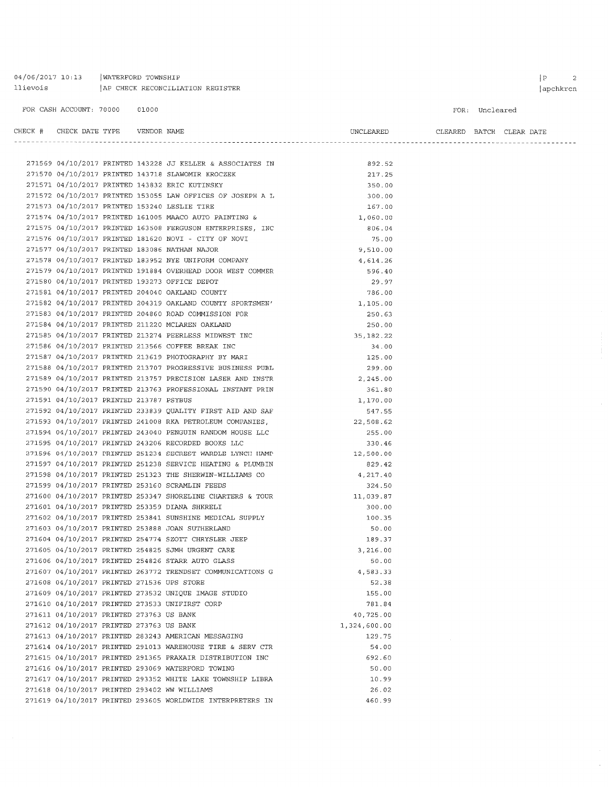04/06/2017 10:13 | WATERFORD TOWNSHIP llievois AP CHECK RECONCILIATION REGISTER  $\begin{array}{|c|c|c|}\n\hline\nP & 2 \\
\hline\n\end{array}$ 

 $\overline{\phantom{a}}$ 

#### FOR: Uncleared

|                                            |  |                                                                                                                                                              | UNCLEARED CLEARED BATCH CLEAR DATE |  |  |
|--------------------------------------------|--|--------------------------------------------------------------------------------------------------------------------------------------------------------------|------------------------------------|--|--|
|                                            |  |                                                                                                                                                              |                                    |  |  |
|                                            |  |                                                                                                                                                              |                                    |  |  |
|                                            |  | 271569 04/10/2017 PRINTED 143228 JJ KELLER & ASSOCIATES IN 392.52                                                                                            |                                    |  |  |
|                                            |  | 271570 04/10/2017 PRINTED 143718 SLAWOMIR KROCZEK                                                                                                            | 217.25                             |  |  |
|                                            |  | 271571 04/10/2017 PRINTED 143832 ERIC KUTINSKY                                                                                                               | 350.00                             |  |  |
|                                            |  | 271572 04/10/2017 PRINTED 153055 LAW OFFICES OF JOSEPH A L<br>271573 04/10/2017 PRINTED 153240 LESLIE TIPE                                                   | 300.00                             |  |  |
|                                            |  | 271573 04/10/2017 PRINTED 153240 LESLIE TIRE                                                                                                                 | 167.00                             |  |  |
|                                            |  | 271574 04/10/2017 PRINTED 161005 MAACO AUTO PAINTING &                                                                                                       | 1,060.00                           |  |  |
|                                            |  | 271575 04/10/2017 PRINTED 163508 FERGUSON ENTERPRISES, INC                                                                                                   | 806.04                             |  |  |
|                                            |  | 271576 04/10/2017 PRINTED 181620 NOVI - CITY OF NOVI                                                                                                         | 75.00                              |  |  |
|                                            |  | 271577 04/10/2017 PRINTED 183086 NATHAN NAJOR                                                                                                                | 9,510.00                           |  |  |
|                                            |  | 271578 04/10/2017 PRINTED 183952 NYE UNIFORM COMPANY                                                                                                         | 4,614.26                           |  |  |
|                                            |  | 271579 04/10/2017 PRINTED 191884 OVERHEAD DOOR WEST COMMER                                                                                                   | 596.40                             |  |  |
|                                            |  | 271580 04/10/2017 PRINTED 193273 OFFICE DEPOT                                                                                                                | 29.97                              |  |  |
|                                            |  | 271581 04/10/2017 PRINTED 204040 OAKLAND COUNTY                                                                                                              | 786.00                             |  |  |
|                                            |  | 271582 04/10/2017 PRINTED 204319 OAKLAND COUNTY SPORTSMEN'<br>271583 04/10/2017 PRINTED 204860 ROAD COMMISSION FOR                                           | 1,105.00                           |  |  |
|                                            |  |                                                                                                                                                              | 250.63                             |  |  |
|                                            |  | 271584 04/10/2017 PRINTED 211220 MCLAREN OAKLAND                                                                                                             | 250.00                             |  |  |
|                                            |  | 271585 04/10/2017 PRINTED 213274 PEERLESS MIDWEST INC                                                                                                        | 35, 182. 22                        |  |  |
|                                            |  | 271586 04/10/2017 PRINTED 213566 COFFEE BREAK INC                                                                                                            | 34.00                              |  |  |
|                                            |  | 271587 04/10/2017 PRINTED 213619 PHOTOGRAPHY BY MARI                                                                                                         | 125.00                             |  |  |
|                                            |  | 271588 04/10/2017 PRINTED 213707 PROGRESSIVE BUSINESS PUBL                                                                                                   | 299.00                             |  |  |
|                                            |  | 271589 04/10/2017 PRINTED 213757 PRECISION LASER AND INSTR                                                                                                   | 2,245.00                           |  |  |
|                                            |  | 271590 04/10/2017 PRINTED 213763 PROFESSIONAL INSTANT PRIN                                                                                                   | 361.80                             |  |  |
| 271591 04/10/2017 PRINTED 213787 PSYBUS    |  |                                                                                                                                                              | 1,170.00                           |  |  |
|                                            |  | 271592 04/10/2017 PRINTED 233839 QUALITY FIRST AID AND SAF<br>271593 04/10/2017 PRINTED 241008 RKA PETROLEUM COMPANIES,                                      | 547.55                             |  |  |
|                                            |  |                                                                                                                                                              | 22,508.62                          |  |  |
|                                            |  | 271594 04/10/2017 PRINTED 243040 PENGUIN RANDOM HOUSE LLC                                                                                                    | 255.00                             |  |  |
|                                            |  | 271595 04/10/2017 PRINTED 243206 RECORDED BOOKS LLC                                                                                                          | 330.46                             |  |  |
|                                            |  | 271596 04/10/2017 PRINTED 251234 SECREST WARDLE LYNCH HAMP 12,500.00                                                                                         |                                    |  |  |
|                                            |  | 271597 04/10/2017 PRINTED 251238 SERVICE HEATING & PLUMBIN                                                                                                   | 829.42                             |  |  |
|                                            |  | 271598 04/10/2017 PRINTED 251323 THE SHERWIN-WILLIAMS CO                                                                                                     | 4,217.40                           |  |  |
|                                            |  | 271599 04/10/2017 PRINTED 253160 SCRAMLIN FEEDS                                                                                                              | 324.50                             |  |  |
|                                            |  | 271600 04/10/2017 PRINTED 253347 SHORELINE CHARTERS & TOUR $11,039.87$                                                                                       |                                    |  |  |
|                                            |  |                                                                                                                                                              | 300.00                             |  |  |
|                                            |  | 271600 04/10/2017 PRINTED 253359 DIANA SHKRELI<br>271601 04/10/2017 PRINTED 253359 DIANA SHKRELI<br>271602 04/10/2017 PRINTED 253841 SUNSHINE MEDICAL SUPPLY | 100.35                             |  |  |
|                                            |  | 271603 04/10/2017 PRINTED 253888 JOAN SUTHERLAND                                                                                                             | 50.00                              |  |  |
|                                            |  | 271604 04/10/2017 PRINTED 254774 SZOTT CHRYSLER JEEP                                                                                                         | 189.37                             |  |  |
|                                            |  | 271605 04/10/2017 PRINTED 254825 SJMH URGENT CARE                                                                                                            | 3,216.00                           |  |  |
|                                            |  | 271606 04/10/2017 PRINTED 254826 STARR AUTO GLASS                                                                                                            | 50.00                              |  |  |
|                                            |  | 271607 04/10/2017 PRINTED 263772 TRENDSET COMMUNICATIONS G                                                                                                   | 4,583.33                           |  |  |
| 271608 04/10/2017 PRINTED 271536 UPS STORE |  |                                                                                                                                                              | 52.38                              |  |  |
|                                            |  | 271609 04/10/2017 PRINTED 273532 UNIQUE IMAGE STUDIO                                                                                                         | 155.00                             |  |  |
|                                            |  | 271610 04/10/2017 PRINTED 273533 UNIFIRST CORP                                                                                                               | 781.84                             |  |  |
| 271611 04/10/2017 PRINTED 273763 US BANK   |  |                                                                                                                                                              | 40,725.00                          |  |  |
| 271612 04/10/2017 PRINTED 273763 US BANK   |  |                                                                                                                                                              | 1,324,600.00                       |  |  |
|                                            |  | 271613 04/10/2017 PRINTED 283243 AMERICAN MESSAGING                                                                                                          | 129.75                             |  |  |
|                                            |  | 271614 04/10/2017 PRINTED 291013 WAREHOUSE TIRE & SERV CTR                                                                                                   | 54.00                              |  |  |
|                                            |  | 271615 04/10/2017 PRINTED 291365 PRAXAIR DISTRIBUTION INC                                                                                                    | 692.60                             |  |  |
|                                            |  | 271616 04/10/2017 PRINTED 293069 WATERFORD TOWING                                                                                                            | 50.00                              |  |  |
|                                            |  | 271617 04/10/2017 PRINTED 293352 WHITE LAKE TOWNSHIP LIBRA                                                                                                   | 10.99                              |  |  |
|                                            |  | 271618 04/10/2017 PRINTED 293402 WW WILLIAMS                                                                                                                 | 26.02                              |  |  |
|                                            |  | 271619 04/10/2017 PRINTED 293605 WORLDWIDE INTERPRETERS IN                                                                                                   | 460.99                             |  |  |
|                                            |  |                                                                                                                                                              |                                    |  |  |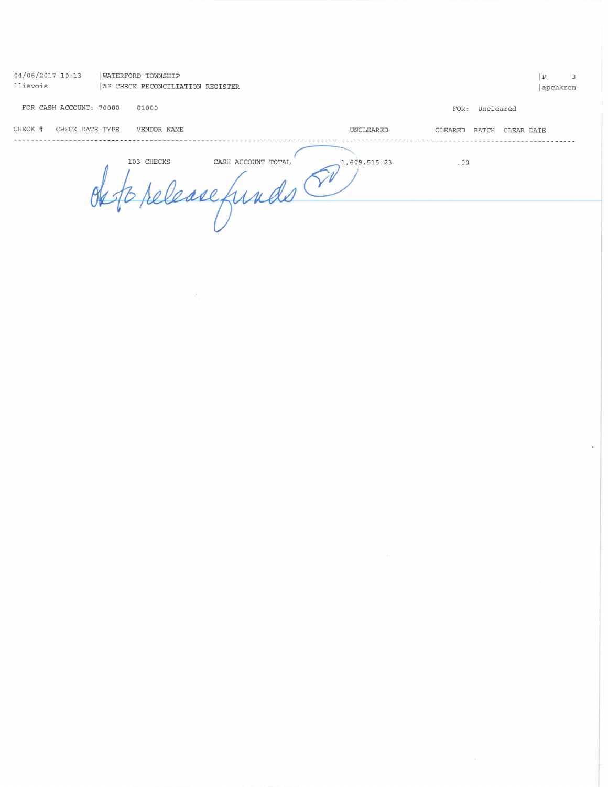| 04/06/2017 10:13<br>llievois | WATERFORD TOWNSHIP<br>AP CHECK RECONCILIATION REGISTER |                      | $\mathbb{P}$<br>3<br>apchkrcn |
|------------------------------|--------------------------------------------------------|----------------------|-------------------------------|
| FOR CASH ACCOUNT: 70000      | 01000                                                  |                      | FOR: Uncleared                |
| CHECK #<br>CHECK DATE TYPE   | VENDOR NAME                                            | UNCLEARED<br>CLEARED | <b>BATCH</b><br>CLEAR DATE    |
|                              | 103 CHECKS<br>CASH ACCOUNT TOTAL<br>$\Lambda$ as       | 1,609,515.23<br>.00  |                               |
|                              |                                                        |                      |                               |

 $\hat{\phantom{a}}$ 

 $\label{eq:1.1} \tilde{\Delta}_{\perp}$